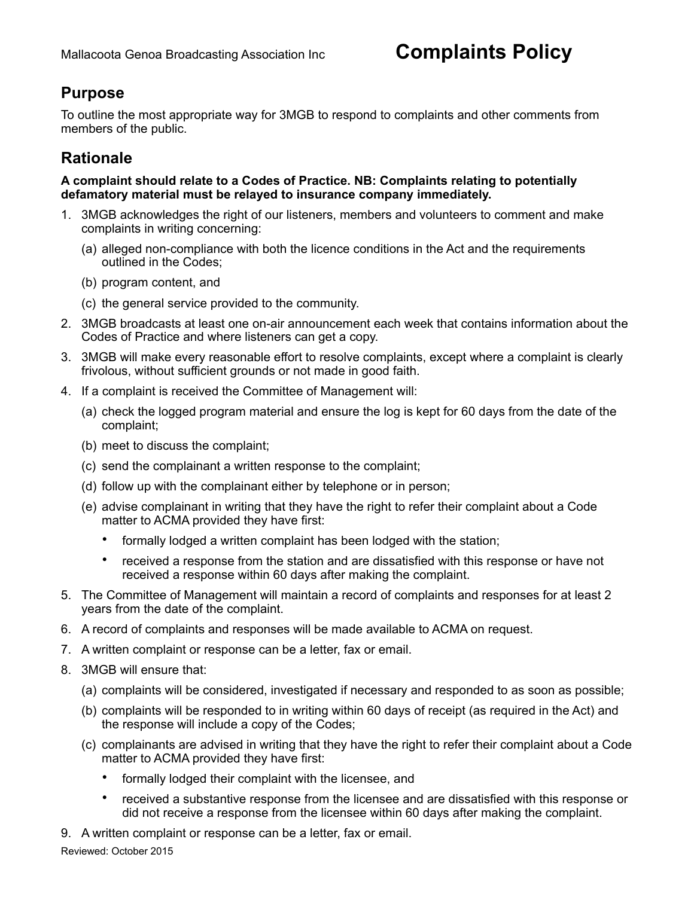## **Purpose**

To outline the most appropriate way for 3MGB to respond to complaints and other comments from members of the public.

## **Rationale**

**A complaint should relate to a Codes of Practice. NB: Complaints relating to potentially defamatory material must be relayed to insurance company immediately.**

- 1. 3MGB acknowledges the right of our listeners, members and volunteers to comment and make complaints in writing concerning:
	- (a) alleged non-compliance with both the licence conditions in the Act and the requirements outlined in the Codes;
	- (b) program content, and
	- (c) the general service provided to the community.
- 2. 3MGB broadcasts at least one on-air announcement each week that contains information about the Codes of Practice and where listeners can get a copy.
- 3. 3MGB will make every reasonable effort to resolve complaints, except where a complaint is clearly frivolous, without sufficient grounds or not made in good faith.
- 4. If a complaint is received the Committee of Management will:
	- (a) check the logged program material and ensure the log is kept for 60 days from the date of the complaint;
	- (b) meet to discuss the complaint;
	- (c) send the complainant a written response to the complaint;
	- (d) follow up with the complainant either by telephone or in person;
	- (e) advise complainant in writing that they have the right to refer their complaint about a Code matter to ACMA provided they have first:
		- formally lodged a written complaint has been lodged with the station;
		- received a response from the station and are dissatisfied with this response or have not received a response within 60 days after making the complaint.
- 5. The Committee of Management will maintain a record of complaints and responses for at least 2 years from the date of the complaint.
- 6. A record of complaints and responses will be made available to ACMA on request.
- 7. A written complaint or response can be a letter, fax or email.
- 8. 3MGB will ensure that:
	- (a) complaints will be considered, investigated if necessary and responded to as soon as possible;
	- (b) complaints will be responded to in writing within 60 days of receipt (as required in the Act) and the response will include a copy of the Codes;
	- (c) complainants are advised in writing that they have the right to refer their complaint about a Code matter to ACMA provided they have first:
		- formally lodged their complaint with the licensee, and
		- received a substantive response from the licensee and are dissatisfied with this response or did not receive a response from the licensee within 60 days after making the complaint.
- 9. A written complaint or response can be a letter, fax or email.